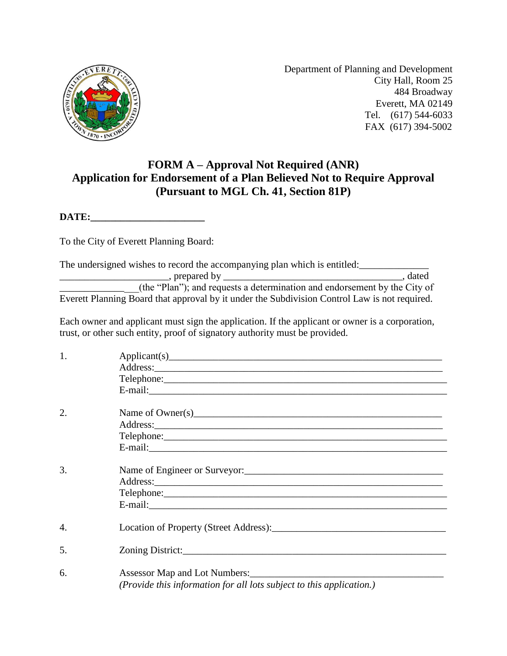

Department of Planning and Development City Hall, Room 25 484 Broadway Everett, MA 02149 Tel. (617) 544-6033 FAX (617) 394-5002

## **FORM A – Approval Not Required (ANR) Application for Endorsement of a Plan Believed Not to Require Approval (Pursuant to MGL Ch. 41, Section 81P)**

**DATE:\_\_\_\_\_\_\_\_\_\_\_\_\_\_\_\_\_\_\_\_\_\_\_**

To the City of Everett Planning Board:

| The undersigned wishes to record the accompanying plan which is entitled:                     |       |
|-----------------------------------------------------------------------------------------------|-------|
| , prepared by                                                                                 | dated |
| (the "Plan"); and requests a determination and endorsement by the City of                     |       |
| Everett Planning Board that approval by it under the Subdivision Control Law is not required. |       |

Each owner and applicant must sign the application. If the applicant or owner is a corporation, trust, or other such entity, proof of signatory authority must be provided.

| 1. | Address: <u>and the same of the same of the same of the same of the same of the same of the same of the same of the same of the same of the same of the same of the same of the same of the same of the same of the same of the </u> |  |  |  |
|----|--------------------------------------------------------------------------------------------------------------------------------------------------------------------------------------------------------------------------------------|--|--|--|
|    |                                                                                                                                                                                                                                      |  |  |  |
|    |                                                                                                                                                                                                                                      |  |  |  |
|    |                                                                                                                                                                                                                                      |  |  |  |
| 2. |                                                                                                                                                                                                                                      |  |  |  |
|    |                                                                                                                                                                                                                                      |  |  |  |
|    |                                                                                                                                                                                                                                      |  |  |  |
|    | E-mail: Latin Communication and the contract of the contract of the contract of the contract of the contract of the contract of the contract of the contract of the contract of the contract of the contract of the contract o       |  |  |  |
| 3. |                                                                                                                                                                                                                                      |  |  |  |
|    |                                                                                                                                                                                                                                      |  |  |  |
| 4. | Location of Property (Street Address):                                                                                                                                                                                               |  |  |  |
| 5. |                                                                                                                                                                                                                                      |  |  |  |
| 6. | (Provide this information for all lots subject to this application.)                                                                                                                                                                 |  |  |  |